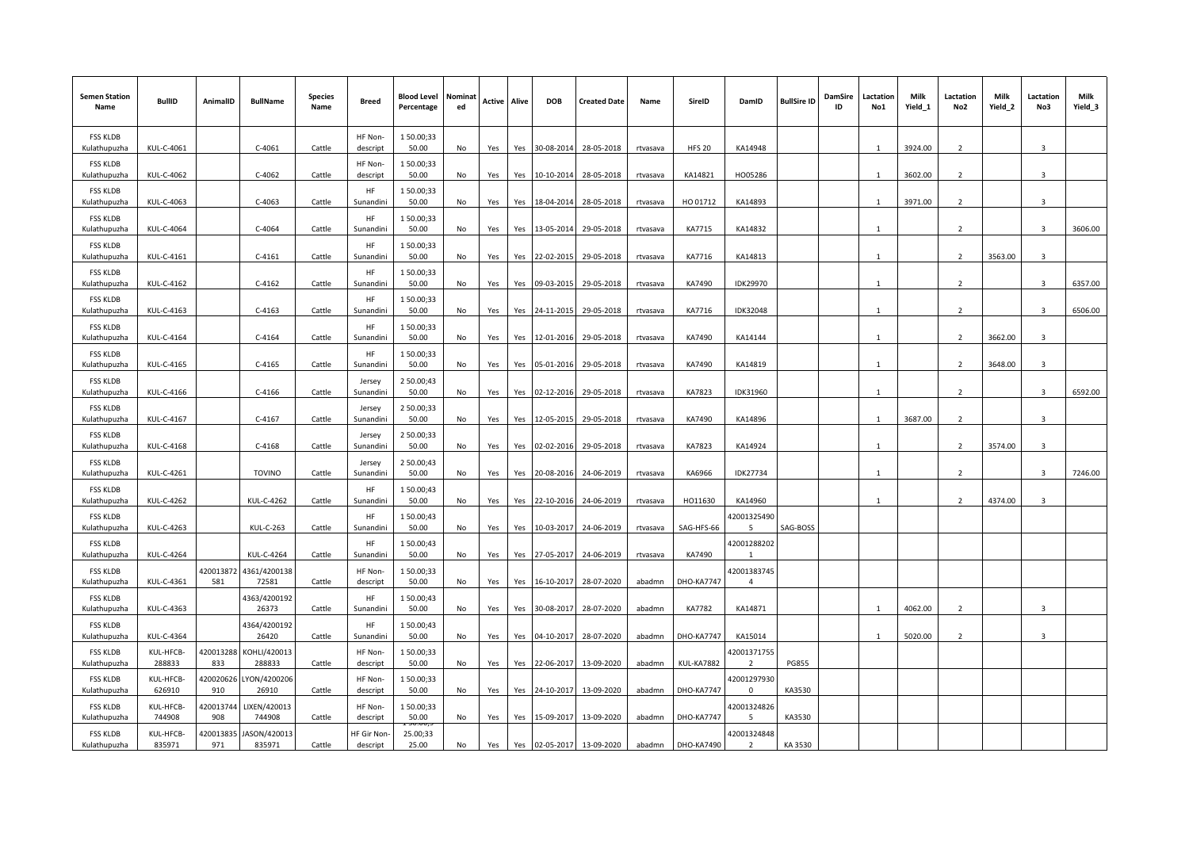| <b>Semen Station</b><br>Name    | <b>BullID</b>            | AnimalID         | <b>BullName</b>             | <b>Species</b><br>Name | <b>Breed</b>                  | Blood Level<br>Percentage | Nominat<br>ed | Active | Alive | DOB            | <b>Created Date</b> | Name     | SireID            | DamID                         | <b>BullSire ID</b> | DamSire<br>ID | Lactation<br>No1 | Milk<br>Yield_1 | Lactation<br>No2         | Milk<br>Yield_2 | Lactation<br>No3        | Milk<br>Yield_3 |
|---------------------------------|--------------------------|------------------|-----------------------------|------------------------|-------------------------------|---------------------------|---------------|--------|-------|----------------|---------------------|----------|-------------------|-------------------------------|--------------------|---------------|------------------|-----------------|--------------------------|-----------------|-------------------------|-----------------|
| <b>FSS KLDB</b><br>Kulathupuzha | KUL-C-4061               |                  | $C-4061$                    | Cattle                 | HF Non-<br>descript           | 150.00;33<br>50.00        | No            | Yes    | Yes   | 30-08-2014     | 28-05-2018          | rtvasava | <b>HFS 20</b>     | KA14948                       |                    |               | $\mathbf{1}$     | 3924.00         | $\overline{2}$           |                 | 3                       |                 |
| <b>FSS KLDB</b><br>Kulathupuzha | KUL-C-4062               |                  | $C-4062$                    | Cattle                 | HF Non-<br>descript           | 150.00;33<br>50.00        | No            | Yes    | Yes   | 10-10-2014     | 28-05-2018          | rtvasava | KA14821           | HO05286                       |                    |               | $\mathbf{1}$     | 3602.00         | $\overline{2}$           |                 | 3                       |                 |
| <b>FSS KLDB</b><br>Kulathupuzha | KUL-C-4063               |                  | $C-4063$                    | Cattle                 | HF<br>Sunandini               | 150.00;33<br>50.00        | No            | Yes    | Yes   | 18-04-2014     | 28-05-2018          | rtvasava | HO 01712          | KA14893                       |                    |               | -1               | 3971.00         | $\overline{2}$           |                 | $\mathbf{3}$            |                 |
| <b>FSS KLDB</b><br>Kulathupuzha | KUL-C-4064               |                  | $C-4064$                    | Cattle                 | HF<br>Sunandini               | 150.00;33<br>50.00        | No            | Yes    | Yes   | 13-05-2014     | 29-05-2018          | rtvasava | KA7715            | KA14832                       |                    |               | $\overline{1}$   |                 | $\overline{2}$           |                 | $\overline{\mathbf{3}}$ | 3606.00         |
| <b>FSS KLDB</b><br>Kulathupuzha | KUL-C-4161               |                  | $C-4161$                    | Cattle                 | HF<br>Sunandini               | 150.00;33<br>50.00        | No            | Yes    | Yes   | 22-02-2015     | 29-05-2018          | rtvasava | KA7716            | KA14813                       |                    |               | $\mathbf{1}$     |                 | $\mathcal{L}$            | 3563.00         | з                       |                 |
| <b>FSS KLDB</b><br>Kulathupuzha | KUL-C-4162               |                  | $C-4162$                    | Cattle                 | HF<br>Sunandini               | 150.00;33<br>50.00        | No            | Yes    | Yes   | 09-03-2015     | 29-05-2018          | rtvasava | KA7490            | IDK29970                      |                    |               | $\mathbf{1}$     |                 | $\mathcal{P}$            |                 | $\mathbf{a}$            | 6357.00         |
| <b>FSS KLDB</b><br>Kulathupuzha | KUL-C-4163               |                  | $C-4163$                    | Cattle                 | HF<br>Sunandini               | 150.00;33<br>50.00        | No            | Yes    | Yes   | 24-11-2015     | 29-05-2018          | rtvasava | KA7716            | <b>IDK32048</b>               |                    |               | $\mathbf{1}$     |                 | $\overline{\phantom{a}}$ |                 | 3                       | 6506.00         |
| <b>FSS KLDB</b><br>Kulathupuzha | KUL-C-4164               |                  | $C-4164$                    | Cattle                 | HF<br>Sunandini               | 150.00;33<br>50.00        | No            | Yes    | Yes   | 12-01-2016     | 29-05-2018          | rtvasava | KA7490            | KA14144                       |                    |               | $\mathbf{1}$     |                 | $\overline{\phantom{a}}$ | 3662.00         | $\overline{3}$          |                 |
| <b>FSS KLDB</b><br>Kulathupuzha | KUL-C-4165               |                  | $C-4165$                    | Cattle                 | <b>HF</b><br>Sunandini        | 150.00;33<br>50.00        | No            | Yes    |       | Yes 05-01-2016 | 29-05-2018          | rtvasava | KA7490            | KA14819                       |                    |               | $\mathbf{1}$     |                 | $\overline{2}$           | 3648.00         | 3                       |                 |
| <b>FSS KLDB</b><br>Kulathupuzha | KUL-C-4166               |                  | $C-4166$                    | Cattle                 | Jersey<br>Sunandini           | 2 50.00;43<br>50.00       | No            | Yes    | Yes   | 02-12-2016     | 29-05-2018          | rtvasava | KA7823            | IDK31960                      |                    |               | $\mathbf{1}$     |                 | $\mathcal{P}$            |                 | 3                       | 6592.00         |
| <b>FSS KLDB</b><br>Kulathupuzha | KUL-C-4167               |                  | $C-4167$                    | Cattle                 | Jersey<br>Sunandini           | 2 50.00;33<br>50.00       | No            |        |       | 12-05-2015     | 29-05-2018          |          | KA7490            | KA14896                       |                    |               | $\overline{1}$   | 3687.00         | $\mathcal{L}$            |                 | $\mathbf{a}$            |                 |
| <b>FSS KLDB</b>                 | KUL-C-4168               |                  | $C-4168$                    | Cattle                 | Jersey                        | 2 50.00;33<br>50.00       |               | Yes    | Yes   | 02-02-2016     | 29-05-2018          | rtvasava | KA7823            | KA14924                       |                    |               | $\mathbf{1}$     |                 | $\overline{2}$           | 3574.00         | 3                       |                 |
| Kulathupuzha<br><b>FSS KLDB</b> |                          |                  |                             |                        | Sunandini<br>Jersey           | 2 50.00;43                | No            | Yes    | Yes   |                |                     | rtvasava |                   |                               |                    |               | $\overline{1}$   |                 |                          |                 | $\mathbf{a}$            |                 |
| Kulathupuzha<br><b>FSS KLDB</b> | KUL-C-4261<br>KUL-C-4262 |                  | <b>TOVINO</b><br>KUL-C-4262 | Cattle                 | Sunandini<br>HF               | 50.00<br>150.00;43        | No            | Yes    | Yes   | 20-08-2016     | 24-06-2019          | rtvasava | KA6966<br>HO11630 | <b>IDK27734</b><br>KA14960    |                    |               | $\mathbf{1}$     |                 | $\mathcal{P}$            | 4374.00         | $\overline{3}$          | 7246.00         |
| Kulathupuzha<br><b>FSS KLDB</b> |                          |                  |                             | Cattle                 | Sunandini<br><b>HF</b>        | 50.00<br>150.00;43        | No            | Yes    | Yes   | 22-10-2016     | 24-06-2019          | rtvasava |                   | 12001325490<br>5.             |                    |               |                  |                 |                          |                 |                         |                 |
| Kulathupuzha<br><b>FSS KLDB</b> | KUL-C-4263               |                  | <b>KUL-C-263</b>            | Cattle                 | Sunandini<br>HF               | 50.00<br>150.00;43        | No            | Yes    | Yes   | 10-03-2017     | 24-06-2019          | rtvasava | SAG-HFS-66        | 12001288202                   | SAG-BOSS           |               |                  |                 |                          |                 |                         |                 |
| Kulathupuzha<br><b>FSS KLDB</b> | KUL-C-4264               | 420013872        | KUL-C-4264<br>4361/4200138  | Cattle                 | Sunandini<br>HF Non-          | 50.00<br>150.00;33        | No            | Yes    | Yes   | 27-05-2017     | 24-06-2019          | rtvasava | KA7490            | $\mathbf{1}$<br>12001383745   |                    |               |                  |                 |                          |                 |                         |                 |
| Kulathupuzha<br><b>FSS KLDB</b> | KUL-C-4361               | 581              | 72581<br>4363/4200192       | Cattle                 | descript<br>HF                | 50.00<br>150.00;43        | No            | Yes    | Yes   | 16-10-2017     | 28-07-2020          | abadmn   | <b>DHO-KA7747</b> | 4                             |                    |               |                  |                 |                          |                 |                         |                 |
| Kulathupuzha<br><b>FSS KLDB</b> | KUL-C-4363               |                  | 26373<br>4364/4200192       | Cattle                 | Sunandini<br><b>HF</b>        | 50.00<br>150.00;43        | No            | Yes    | Yes   | 30-08-2017     | 28-07-2020          | abadmn   | KA7782            | KA14871                       |                    |               | $\overline{1}$   | 4062.00         | $\overline{2}$           |                 | 3                       |                 |
| Kulathupuzha<br><b>FSS KLDB</b> | KUL-C-4364<br>KUL-HFCB-  | 120013288        | 26420<br>KOHLI/420013       | Cattle                 | Sunandini<br>HF Non-          | 50.00<br>150.00;33        | No            | Yes    | Yes   | 04-10-2017     | 28-07-2020          | abadmn   | <b>DHO-KA7747</b> | KA15014<br>42001371755        |                    |               | $\mathbf{1}$     | 5020.00         | $\overline{\phantom{a}}$ |                 | 3                       |                 |
| Kulathupuzha<br><b>FSS KLDB</b> | 288833<br>KUL-HFCB-      | 833<br>120020626 | 288833<br>YON/4200206       | Cattle                 | descript<br>HF Non-           | 50.00<br>150.00;33        | No            | Yes    | Yes   | 22-06-2017     | 13-09-2020          | abadmn   | KUL-KA7882        | $\overline{2}$<br>42001297930 | <b>PG855</b>       |               |                  |                 |                          |                 |                         |                 |
| Kulathupuzha<br><b>FSS KLDB</b> | 626910<br>KUL-HFCB-      | 910<br>120013744 | 26910<br>LIXEN/420013       | Cattle                 | descript<br>HF Non-           | 50.00<br>150.00;33        | No            | Yes    | Yes   | 24-10-2017     | 13-09-2020          | abadmn   | <b>DHO-KA7747</b> | $\Omega$<br>12001324826       | KA3530             |               |                  |                 |                          |                 |                         |                 |
| Kulathupuzha<br><b>FSS KLDB</b> | 744908<br>KUL-HFCB-      | 908<br>120013835 | 744908<br>JASON/420013      | Cattle                 | descript<br><b>IF Gir Non</b> | 50.00<br>25.00;33         | No            | Yes    | Yes   | 15-09-2017     | 13-09-2020          | abadmn   | <b>DHO-KA7747</b> | 5<br>42001324848              | KA3530             |               |                  |                 |                          |                 |                         |                 |
| Kulathupuzha                    | 835971                   | 971              | 835971                      | Cattle                 | descript                      | 25.00                     | No            | Yes    | Yes   | 02-05-2017     | 13-09-2020          | abadmn   | <b>DHO-KA7490</b> | $\overline{2}$                | KA 3530            |               |                  |                 |                          |                 |                         |                 |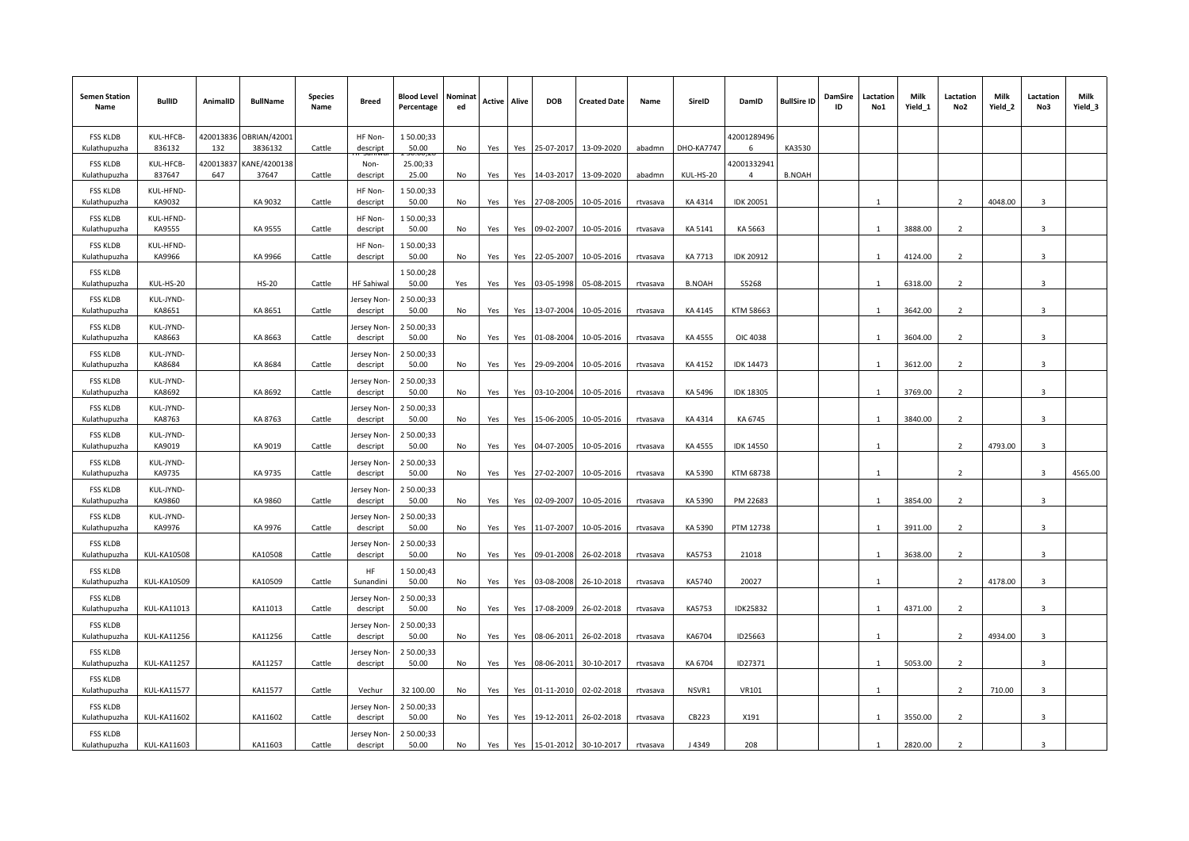| <b>Semen Station</b><br>Name    | <b>BullID</b>          | AnimalID         | <b>BullName</b>         | <b>Species</b><br>Name | <b>Breed</b>                    | <b>Blood Level</b><br>Percentage   | Nominat<br>ed | Active | Alive | <b>DOB</b> | <b>Created Date</b> | Name     | SireID            | DamID                         | <b>BullSire ID</b> | DamSire<br>ID | Lactation<br>No1 | Milk<br>Yield_1 | Lactation<br>No2         | Milk<br>Yield_2 | Lactation<br>No3        | Milk<br>Yield_3 |
|---------------------------------|------------------------|------------------|-------------------------|------------------------|---------------------------------|------------------------------------|---------------|--------|-------|------------|---------------------|----------|-------------------|-------------------------------|--------------------|---------------|------------------|-----------------|--------------------------|-----------------|-------------------------|-----------------|
| <b>FSS KLDB</b><br>Kulathupuzha | KUL-HFCB-<br>836132    | 420013836<br>132 | OBRIAN/42001<br>3836132 | Cattle                 | HF Non-<br>descript             | 150.00;33<br>50.00                 | No.           | Yes    | Yes   | 25-07-2017 | 13-09-2020          | abadmn   | <b>DHO-KA7747</b> | 42001289496<br>-6             | KA3530             |               |                  |                 |                          |                 |                         |                 |
| <b>FSS KLDB</b><br>Kulathupuzha | KUL-HFCB-<br>837647    | 420013837<br>647 | KANE/4200138<br>37647   | Cattle                 | Non-<br>descript                | <b>30.00.</b><br>25.00;33<br>25.00 | No            | Yes    | Yes   | 14-03-2017 | 13-09-2020          | abadmn   | KUL-HS-20         | 12001332941<br>$\overline{a}$ | <b>B.NOAH</b>      |               |                  |                 |                          |                 |                         |                 |
| <b>FSS KLDB</b><br>Kulathupuzha | KUL-HFND-<br>KA9032    |                  | KA 9032                 | Cattle                 | HF Non-<br>descript             | 150.00;33<br>50.00                 | No            | Yes    | Yes   | 27-08-2005 | 10-05-2016          | rtvasava | KA 4314           | <b>IDK 20051</b>              |                    |               | $\mathbf{1}$     |                 | $\overline{2}$           | 4048.00         | $\overline{\mathbf{3}}$ |                 |
| <b>FSS KLDB</b><br>Kulathupuzha | KUL-HFND-<br>KA9555    |                  | KA 9555                 | Cattle                 | HF Non-<br>descript             | 150.00;33<br>50.00                 | No            | Yes    | Yes   | 09-02-2007 | 10-05-2016          | rtvasava | KA 5141           | KA 5663                       |                    |               | $\mathbf{1}$     | 3888.00         | $\overline{2}$           |                 | $\overline{3}$          |                 |
| <b>FSS KLDB</b>                 | KUL-HFND-              |                  | KA 9966                 | Cattle                 | HF Non-                         | 150.00;33                          | No            |        |       |            |                     |          | KA 7713           |                               |                    |               |                  | 4124.00         | $\overline{2}$           |                 | $\overline{3}$          |                 |
| Kulathupuzha<br><b>FSS KLDB</b> | KA9966                 |                  |                         |                        | descript                        | 50.00<br>150.00;28                 |               | Yes    | Yes   | 22-05-2007 | 10-05-2016          | rtvasava |                   | <b>IDK 20912</b>              |                    |               | $\overline{1}$   |                 | $\overline{2}$           |                 | $\overline{3}$          |                 |
| Kulathupuzha<br><b>FSS KLDB</b> | KUL-HS-20<br>KUL-JYND- |                  | <b>HS-20</b>            | Cattle                 | <b>HF Sahiwal</b><br>lersey Non | 50.00<br>2 50.00;33                | Yes           | Yes    | Yes   | 03-05-1998 | 05-08-2015          | rtvasava | <b>B.NOAH</b>     | S5268                         |                    |               |                  | 6318.00         | $\overline{2}$           |                 | $\mathbf{3}$            |                 |
| Kulathupuzha<br><b>FSS KLDB</b> | KA8651<br>KUL-JYND-    |                  | KA 8651                 | Cattle                 | descript<br>lersey Non          | 50.00<br>2 50.00;33                | No            | Yes    | Yes   | 13-07-2004 | 10-05-2016          | rtvasava | KA 4145           | KTM 58663                     |                    |               |                  | 3642.00         |                          |                 |                         |                 |
| Kulathupuzha<br><b>FSS KLDB</b> | KA8663<br>KUL-JYND-    |                  | KA 8663                 | Cattle                 | descript<br>lersey Non          | 50.00<br>2 50.00;33                | No            | Yes    | Yes   | 01-08-2004 | 10-05-2016          | rtvasava | KA 4555           | OIC 4038                      |                    |               | $\overline{1}$   | 3604.00         | $\overline{2}$           |                 | 3                       |                 |
| Kulathupuzha<br><b>FSS KLDB</b> | KA8684<br>KUL-JYND-    |                  | KA 8684                 | Cattle                 | descript<br>lersey Non          | 50.00<br>2 50.00;33                | No            | Yes    | Yes   | 29-09-2004 | 10-05-2016          | rtvasava | KA 4152           | <b>IDK 14473</b>              |                    |               | $\mathbf{1}$     | 3612.00         | $\overline{2}$           |                 | $\overline{3}$          |                 |
| Kulathupuzha<br><b>FSS KLDB</b> | KA8692<br>KUL-JYND-    |                  | KA 8692                 | Cattle                 | descript<br>lersey Non          | 50.00<br>2 50.00;33                | No            | Yes    | Yes   | 03-10-2004 | 10-05-2016          | rtvasava | KA 5496           | <b>IDK 18305</b>              |                    |               | $\overline{1}$   | 3769.00         | $\overline{2}$           |                 | $\overline{3}$          |                 |
| Kulathupuzha<br><b>FSS KLDB</b> | KA8763<br>KUL-JYND-    |                  | KA 8763                 | Cattle                 | descript<br>lersey Non          | 50.00<br>2 50.00;33                | No            | Yes    | Yes   | 15-06-2005 | 10-05-2016          | rtvasava | KA4314            | KA 6745                       |                    |               | $\mathbf{1}$     | 3840.00         | 2                        |                 | $\overline{3}$          |                 |
| Kulathupuzha<br><b>FSS KLDB</b> | KA9019<br>KUL-JYND-    |                  | KA 9019                 | Cattle                 | descript<br>lersey Non          | 50.00<br>2 50.00;33                | No            | Yes    | Yes   | 04-07-2005 | 10-05-2016          | rtvasava | KA 4555           | <b>IDK 14550</b>              |                    |               | $\mathbf{1}$     |                 | $\overline{2}$           | 4793.00         | 3                       |                 |
| Kulathupuzha<br><b>FSS KLDB</b> | KA9735<br>KUL-JYND-    |                  | KA 9735                 | Cattle                 | descript<br>Jersey Non          | 50.00<br>2 50.00;33                | No            | Yes    | Yes   | 27-02-2007 | 10-05-2016          | rtvasava | KA 5390           | KTM 68738                     |                    |               |                  |                 | $\overline{\phantom{a}}$ |                 | $\mathbf{3}$            | 4565.00         |
| Kulathupuzha<br><b>FSS KLDB</b> | KA9860<br>KUL-JYND-    |                  | KA 9860                 | Cattle                 | descript<br>lersey Non-         | 50.00<br>2 50.00;33                | No            | Yes    | Yes   | 02-09-2007 | 10-05-2016          | rtvasava | KA 5390           | PM 22683                      |                    |               | $\mathbf{1}$     | 3854.00         | $\overline{2}$           |                 | $\mathbf{3}$            |                 |
| Kulathupuzha<br><b>FSS KLDB</b> | KA9976                 |                  | KA 9976                 | Cattle                 | descript<br>lersey Non          | 50.00<br>2 50.00;33                | No            | Yes    | Yes   | 11-07-2007 | 10-05-2016          | rtvasava | KA 5390           | PTM 12738                     |                    |               | $\mathbf{1}$     | 3911.00         | $\overline{2}$           |                 | 3                       |                 |
| Kulathupuzha<br><b>FSS KLDB</b> | <b>KUL-KA10508</b>     |                  | KA10508                 | Cattle                 | descript<br>HF                  | 50.00<br>150.00;43                 | No            | Yes    | Yes   | 09-01-2008 | 26-02-2018          | rtvasava | KA5753            | 21018                         |                    |               | $\mathbf{1}$     | 3638.00         | $\overline{2}$           |                 | 3                       |                 |
| Kulathupuzha<br><b>FSS KLDB</b> | <b>KUL-KA10509</b>     |                  | KA10509                 | Cattle                 | Sunandini<br>Jersey Non         | 50.00<br>2 50.00;33                | No            | Yes    | Yes   | 03-08-2008 | 26-10-2018          | rtvasava | KA5740            | 20027                         |                    |               |                  |                 | $\overline{2}$           | 4178.00         | 3                       |                 |
| Kulathupuzha<br><b>FSS KLDB</b> | <b>KUL-KA11013</b>     |                  | KA11013                 | Cattle                 | descript<br>lersey Non          | 50.00<br>2 50.00;33                | No            | Yes    | Yes   | 17-08-2009 | 26-02-2018          | rtvasava | KA5753            | <b>IDK25832</b>               |                    |               | $\overline{1}$   | 4371.00         | $\overline{2}$           |                 | $\mathbf{3}$            |                 |
| Kulathupuzha<br><b>FSS KLDB</b> | <b>KUL-KA11256</b>     |                  | KA11256                 | Cattle                 | descript<br>lersey Non          | 50.00<br>2 50.00;33                | No            | Yes    | Yes   | 08-06-2011 | 26-02-2018          | rtvasava | KA6704            | ID25663                       |                    |               | 1                |                 | $\overline{2}$           | 4934.00         | 3                       |                 |
| Kulathupuzha<br><b>FSS KLDB</b> | <b>KUL-KA11257</b>     |                  | KA11257                 | Cattle                 | descript                        | 50.00                              | No            | Yes    | Yes   | 08-06-2011 | 30-10-2017          | rtvasava | KA 6704           | ID27371                       |                    |               | 1                | 5053.00         | $\overline{2}$           |                 | 3                       |                 |
| Kulathupuzha<br><b>FSS KLDB</b> | <b>KUL-KA11577</b>     |                  | KA11577                 | Cattle                 | Vechur<br>Jersey Non            | 32 100.00<br>2 50.00;33            | No            | Yes    | Yes   | 01-11-2010 | 02-02-2018          | rtvasava | NSVR1             | VR101                         |                    |               |                  |                 | $\mathbf{2}$             | 710.00          | 3                       |                 |
| Kulathupuzha<br><b>FSS KLDB</b> | <b>KUL-KA11602</b>     |                  | KA11602                 | Cattle                 | descript<br>lersey Non-         | 50.00<br>2 50.00;33                | No            | Yes    | Yes   | 19-12-2011 | 26-02-2018          | rtvasava | CB223             | X191                          |                    |               |                  | 3550.00         | $\overline{2}$           |                 | $\mathbf{3}$            |                 |
| Kulathupuzha                    | <b>KUL-KA11603</b>     |                  | KA11603                 | Cattle                 | descript                        | 50.00                              | No            | Yes    | Yes   | 15-01-2012 | 30-10-2017          | rtvasava | J 4349            | 208                           |                    |               | $\overline{1}$   | 2820.00         | $\overline{2}$           |                 | 3                       |                 |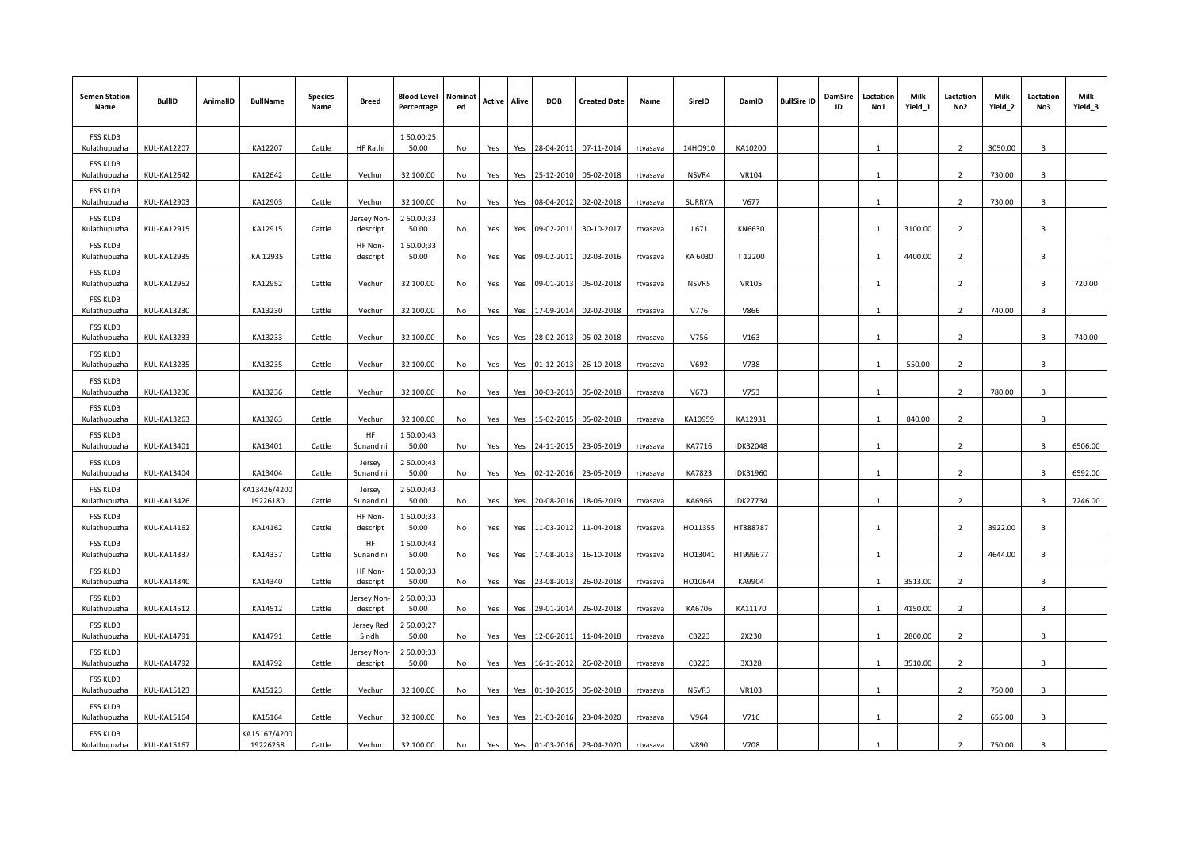| <b>Semen Station</b><br>Name    | <b>BullID</b>      | AnimalID | <b>BullName</b>          | <b>Species</b><br>Name | Breed                       | <b>Blood Level Nominat</b><br>Percentage | ed | Active | Alive | <b>DOB</b> | <b>Created Date</b>   | Name     | SireID  | DamID           | <b>BullSire ID</b> | DamSire<br>ID | Lactation<br>No1 | Milk<br>Yield_1 | Lactation<br>No <sub>2</sub> | Milk<br>Yield_2 | Lactation<br>No3        | Milk<br>Yield_3 |
|---------------------------------|--------------------|----------|--------------------------|------------------------|-----------------------------|------------------------------------------|----|--------|-------|------------|-----------------------|----------|---------|-----------------|--------------------|---------------|------------------|-----------------|------------------------------|-----------------|-------------------------|-----------------|
| <b>FSS KLDB</b><br>Kulathupuzha | <b>KUL-KA12207</b> |          | KA12207                  | Cattle                 | <b>HF Rathi</b>             | 150.00;25<br>50.00                       | No | Yes    | Yes   | 28-04-2011 | 07-11-2014            | rtvasava | 14HO910 | KA10200         |                    |               |                  |                 | $\overline{2}$               | 3050.00         | 3                       |                 |
| <b>FSS KLDB</b><br>Kulathupuzha | <b>KUL-KA12642</b> |          | KA12642                  | Cattle                 | Vechur                      | 32 100.00                                | No | Yes    | Yes   | 25-12-2010 | 05-02-2018            | rtvasava | NSVR4   | VR104           |                    |               | -1               |                 | $\overline{2}$               | 730.00          | 3                       |                 |
| <b>FSS KLDB</b><br>Kulathupuzha | <b>KUL-KA12903</b> |          | KA12903                  | Cattle                 | Vechur                      | 32 100.00                                | No | Yes    | Yes   | 08-04-2012 | 02-02-2018            | rtvasava | SURRYA  | V677            |                    |               | -1               |                 | 2                            | 730.00          | 3                       |                 |
| <b>FSS KLDB</b><br>Kulathupuzha | <b>KUL-KA12915</b> |          | KA12915                  | Cattle                 | ersey Non<br>descript       | 2 50.00;33<br>50.00                      | No | Yes    | Yes   | 09-02-2011 | 30-10-2017            | rtvasava | J 671   | KN6630          |                    |               | $\mathbf{1}$     | 3100.00         | 2                            |                 | 3                       |                 |
| <b>FSS KLDB</b><br>Kulathupuzha | <b>KUL-KA12935</b> |          | KA 12935                 | Cattle                 | HF Non-<br>descript         | 150.00;33<br>50.00                       | No | Yes    | Yes   | 09-02-2011 | 02-03-2016            | rtvasava | KA 6030 | T12200          |                    |               | $\mathbf{1}$     | 4400.00         | $\overline{2}$               |                 | 3                       |                 |
| <b>FSS KLDB</b><br>Kulathupuzha | <b>KUL-KA12952</b> |          | KA12952                  | Cattle                 | Vechur                      | 32 100.00                                | No | Yes    | Yes   | 09-01-2013 | 05-02-2018            | rtvasava | NSVR5   | <b>VR105</b>    |                    |               | $\mathbf{1}$     |                 | $\overline{2}$               |                 | $\mathbf{3}$            | 720.00          |
| <b>FSS KLDB</b><br>Kulathupuzha | <b>KUL-KA13230</b> |          | KA13230                  | Cattle                 | Vechur                      | 32 100.00                                | No | Yes    | Yes   | 17-09-2014 | 02-02-2018            | rtvasava | V776    | V866            |                    |               | 1                |                 | 2                            | 740.00          | 3                       |                 |
| <b>FSS KLDB</b><br>Kulathupuzha | <b>KUL-KA13233</b> |          | KA13233                  | Cattle                 | Vechur                      | 32 100.00                                | No | Yes    | Yes   | 28-02-2013 | 05-02-2018            | rtvasava | V756    | V163            |                    |               | -1               |                 | $\overline{2}$               |                 | 3                       | 740.00          |
| <b>FSS KLDB</b><br>Kulathupuzha | <b>KUL-KA13235</b> |          | KA13235                  | Cattle                 | Vechur                      | 32 100.00                                | No | Yes    | Yes   | 01-12-2013 | 26-10-2018            | rtvasava | V692    | V738            |                    |               | $\mathbf{1}$     | 550.00          | $\overline{2}$               |                 | $\overline{3}$          |                 |
| <b>FSS KLDB</b><br>Kulathupuzha | <b>KUL-KA13236</b> |          | KA13236                  | Cattle                 | Vechur                      | 32 100.00                                | No | Yes    | Yes   | 30-03-2013 | 05-02-2018            | rtvasava | V673    | V753            |                    |               | -1               |                 | 2                            | 780.00          | 3                       |                 |
| <b>FSS KLDB</b><br>Kulathupuzha | <b>KUL-KA13263</b> |          | KA13263                  | Cattle                 | Vechur                      | 32 100.00                                | No | Yes    | Yes   | 15-02-2015 | 05-02-2018            | rtvasava | KA10959 | KA12931         |                    |               | $\overline{1}$   | 840.00          | 2                            |                 | -3                      |                 |
| <b>FSS KLDB</b><br>Kulathupuzha | KUL-KA13401        |          | KA13401                  | Cattle                 | HF<br>Sunandini             | 150.00;43<br>50.00                       | No | Yes    | Yes   | 24-11-2015 | 23-05-2019            | rtvasava | KA7716  | <b>IDK32048</b> |                    |               | -1               |                 | $\overline{2}$               |                 | 3                       | 6506.00         |
| <b>FSS KLDB</b><br>Kulathupuzha | <b>KUL-KA13404</b> |          | KA13404                  | Cattle                 | Jersey<br>Sunandini         | 2 50.00;43<br>50.00                      | No | Yes    | Yes   | 02-12-2016 | 23-05-2019            | rtvasava | KA7823  | IDK31960        |                    |               | $\mathbf{1}$     |                 | $\overline{2}$               |                 | з                       | 6592.00         |
| <b>FSS KLDB</b><br>Kulathupuzha | <b>KUL-KA13426</b> |          | KA13426/4200<br>19226180 | Cattle                 | Jersey<br>Sunandini         | 2 50.00;43<br>50.00                      | No | Yes    | Yes   | 20-08-2016 | 18-06-2019            | rtvasava | KA6966  | IDK27734        |                    |               | -1               |                 | $\overline{2}$               |                 | 3                       | 7246.00         |
| <b>FSS KLDB</b><br>Kulathupuzha | <b>KUL-KA14162</b> |          | KA14162                  | Cattle                 | HF Non-<br>descript         | 150.00;33<br>50.00                       | No | Yes    | Yes   | 11-03-2012 | 11-04-2018            | rtvasava | HO11355 | HT888787        |                    |               | -1               |                 | $\overline{2}$               | 3922.00         | 3                       |                 |
| <b>FSS KLDB</b><br>Kulathupuzha | <b>KUL-KA14337</b> |          | KA14337                  | Cattle                 | HF<br>Sunandini             | 150.00;43<br>50.00                       | No | Yes    | Yes   | 17-08-2013 | 16-10-2018            | rtvasava | HO13041 | HT999677        |                    |               | -1               |                 | $\overline{2}$               | 4644.00         | $\mathbf{3}$            |                 |
| <b>FSS KLDB</b><br>Kulathupuzha | <b>KUL-KA14340</b> |          | KA14340                  | Cattle                 | HF Non-<br>descript         | 150.00;33<br>50.00                       | No | Yes    | Yes   | 23-08-2013 | 26-02-2018            | rtvasava | HO10644 | KA9904          |                    |               | -1               | 3513.00         | 2                            |                 | 3                       |                 |
| <b>FSS KLDB</b><br>Kulathupuzha | <b>KUL-KA14512</b> |          | KA14512                  | Cattle                 | ersey Non<br>descript       | 2 50.00;33<br>50.00                      | No | Yes    | Yes   |            | 29-01-2014 26-02-2018 | rtvasava | KA6706  | KA11170         |                    |               | -1               | 4150.00         | 2                            |                 | $\mathbf{3}$            |                 |
| <b>FSS KLDB</b><br>Kulathupuzha | <b>KUL-KA14791</b> |          | KA14791                  | Cattle                 | <b>Iersey Red</b><br>Sindhi | 2 50.00;27<br>50.00                      | No | Yes    | Yes   | 12-06-2011 | 11-04-2018            | rtvasava | CB223   | 2X230           |                    |               | -1               | 2800.00         | 2                            |                 | $\overline{\mathbf{3}}$ |                 |
| <b>FSS KLDB</b><br>Kulathupuzha | <b>KUL-KA14792</b> |          | KA14792                  | Cattle                 | ersey Non<br>descript       | 2 50.00;33<br>50.00                      | No | Yes    | Yes   | 16-11-2012 | 26-02-2018            | rtvasava | CB223   | 3X328           |                    |               | $\mathbf{1}$     | 3510.00         | 2                            |                 | 3                       |                 |
| <b>FSS KLDB</b><br>Kulathupuzha | <b>KUL-KA15123</b> |          | KA15123                  | Cattle                 | Vechur                      | 32 100.00                                | No | Yes    | Yes   | 01-10-2015 | 05-02-2018            | rtvasava | NSVR3   | VR103           |                    |               | -1               |                 | 2                            | 750.00          | 3                       |                 |
| <b>FSS KLDB</b><br>Kulathupuzha | <b>KUL-KA15164</b> |          | KA15164                  | Cattle                 | Vechur                      | 32 100.00                                | No | Yes    | Yes   | 21-03-2016 | 23-04-2020            | rtvasava | V964    | V716            |                    |               | -1               |                 | $\overline{2}$               | 655.00          | 3                       |                 |
| <b>FSS KLDB</b><br>Kulathupuzha | <b>KUL-KA15167</b> |          | KA15167/4200<br>19226258 | Cattle                 | Vechur                      | 32 100.00                                | No | Yes    | Yes   | 01-03-2016 | 23-04-2020            | rtvasava | V890    | V708            |                    |               |                  |                 | $\overline{2}$               | 750.00          | 3                       |                 |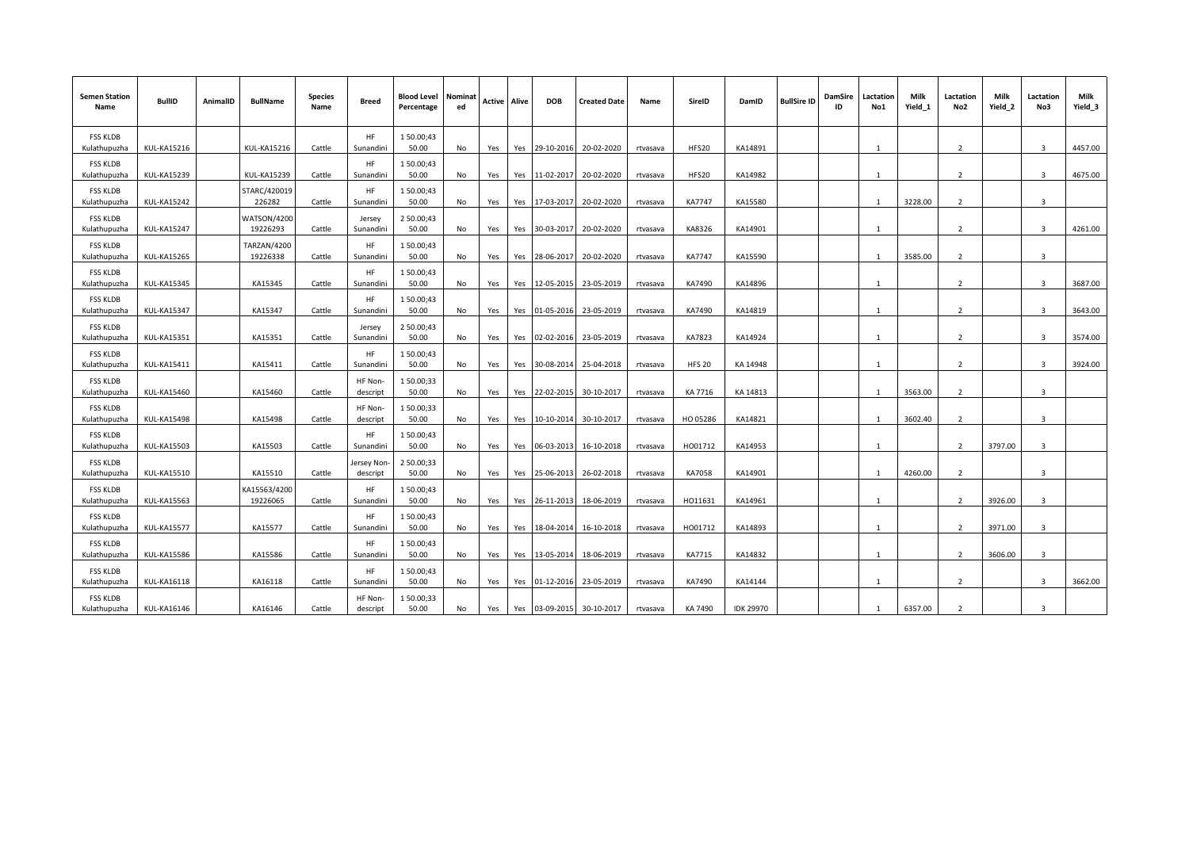| <b>Semen Station</b><br>Name    | <b>BullID</b>      | AnimalID | <b>BullName</b>          | <b>Species</b><br>Name | <b>Breed</b>        | <b>Blood Level Nominat</b><br>Percentage | ed        | Active | Alive | <b>DOB</b>     | <b>Created Date</b> | Name     | SireID        | DamID            | <b>BullSire ID</b> | DamSire<br>ID | Lactation<br>No1 | Milk<br>Yield_1 | Lactation<br>No2         | Milk<br>Yield_2 | Lactation<br>No3        | Milk<br>Yield_3 |
|---------------------------------|--------------------|----------|--------------------------|------------------------|---------------------|------------------------------------------|-----------|--------|-------|----------------|---------------------|----------|---------------|------------------|--------------------|---------------|------------------|-----------------|--------------------------|-----------------|-------------------------|-----------------|
| <b>FSS KLDB</b>                 |                    |          |                          |                        | HF                  | 150.00;43                                |           |        |       |                |                     |          |               |                  |                    |               |                  |                 |                          |                 |                         |                 |
| Kulathupuzha                    | <b>KUL-KA15216</b> |          | <b>KUL-KA15216</b>       | Cattle                 | Sunandini           | 50.00                                    | No        | Yes    |       | Yes 29-10-2016 | 20-02-2020          | rtvasava | HFS20         | KA14891          |                    |               |                  |                 | $\overline{2}$           |                 | $\overline{3}$          | 4457.00         |
| <b>FSS KLDB</b><br>Kulathupuzha | <b>KUL-KA15239</b> |          | <b>KUL-KA15239</b>       | Cattle                 | HF<br>Sunandini     | 150.00;43<br>50.00                       | No        | Yes    | Yes   | 11-02-2017     | 20-02-2020          | rtvasava | <b>HFS20</b>  | KA14982          |                    |               | $\overline{1}$   |                 | $\overline{2}$           |                 | $\overline{3}$          | 4675.00         |
| <b>FSS KLDB</b><br>Kulathupuzha | <b>KUL-KA15242</b> |          | STARC/420019<br>226282   | Cattle                 | HF<br>Sunandini     | 150.00;43<br>50.00                       | No        | Yes    | Yes   | 17-03-2017     | 20-02-2020          | rtvasava | <b>KA7747</b> | KA15580          |                    |               | $\mathbf{1}$     | 3228.00         | $\overline{2}$           |                 | $\overline{3}$          |                 |
|                                 |                    |          |                          |                        |                     |                                          |           |        |       |                |                     |          |               |                  |                    |               |                  |                 |                          |                 |                         |                 |
| <b>FSS KLDB</b><br>Kulathupuzha | <b>KUL-KA15247</b> |          | WATSON/4200<br>19226293  | Cattle                 | Jersey<br>Sunandini | 2 50.00;43<br>50.00                      | No        | Yes    |       | Yes 30-03-2017 | 20-02-2020          | rtvasava | KA8326        | KA14901          |                    |               | $\mathbf{1}$     |                 | $\overline{2}$           |                 | $\overline{\mathbf{3}}$ | 4261.00         |
| <b>FSS KLDB</b><br>Kulathupuzha | <b>KUL-KA15265</b> |          | TARZAN/4200<br>19226338  | Cattle                 | HF<br>Sunandin      | 150.00;43<br>50.00                       | No        | Yes    | Yes   | 28-06-2017     | 20-02-2020          | rtvasava | <b>KA7747</b> | KA15590          |                    |               | $\overline{1}$   | 3585.00         | $\mathcal{L}$            |                 | $\mathbf{a}$            |                 |
| <b>FSS KLDB</b>                 |                    |          |                          |                        | HF                  | 150.00;43                                |           |        |       |                |                     |          |               |                  |                    |               |                  |                 |                          |                 |                         |                 |
| Kulathupuzha                    | <b>KUL-KA15345</b> |          | KA15345                  | Cattle                 | Sunandini           | 50.00                                    | No        | Yes    |       | Yes 12-05-2015 | 23-05-2019          | rtvasava | KA7490        | KA14896          |                    |               | $\mathbf{1}$     |                 | $\overline{2}$           |                 | $\overline{3}$          | 3687.00         |
| <b>FSS KLDB</b><br>Kulathupuzha | <b>KUL-KA15347</b> |          | KA15347                  | Cattle                 | HF<br>Sunandini     | 150.00;43<br>50.00                       | No        | Yes    | Yes   | 01-05-2016     | 23-05-2019          | rtvasava | KA7490        | KA14819          |                    |               | $\mathbf{1}$     |                 | $\overline{2}$           |                 | $\overline{3}$          | 3643.00         |
| <b>FSS KLDB</b>                 |                    |          |                          |                        | Jersey              | 2 50.00;43                               |           |        |       |                |                     |          |               |                  |                    |               |                  |                 |                          |                 |                         |                 |
| Kulathupuzha                    | <b>KUL-KA15351</b> |          | KA15351                  | Cattle                 | Sunandini           | 50.00                                    | No        | Yes    |       | Yes 02-02-2016 | 23-05-2019          | rtvasava | KA7823        | KA14924          |                    |               | $\overline{1}$   |                 | $\overline{\phantom{a}}$ |                 | $\overline{3}$          | 3574.00         |
| <b>FSS KLDB</b><br>Kulathupuzha | <b>KUL-KA15411</b> |          | KA15411                  | Cattle                 | HF<br>Sunandin      | 150.00;43<br>50.00                       | <b>No</b> | Yes    | Yes   | 30-08-2014     | 25-04-2018          | rtvasava | <b>HFS 20</b> | KA 14948         |                    |               |                  |                 | $\overline{\phantom{a}}$ |                 | $\overline{3}$          | 3924.00         |
| <b>FSS KLDB</b><br>Kulathupuzha | <b>KUL-KA15460</b> |          | KA15460                  | Cattle                 | HF Non-<br>descript | 150.00;33<br>50.00                       | No        | Yes    | Yes   | 22-02-2015     | 30-10-2017          | rtvasava | KA 7716       | KA 14813         |                    |               |                  | 3563.00         | $\overline{\phantom{a}}$ |                 | $\overline{3}$          |                 |
| <b>FSS KLDB</b>                 |                    |          |                          |                        | HF Non-             | 150.00;33                                |           |        |       |                |                     |          |               |                  |                    |               |                  |                 |                          |                 |                         |                 |
| Kulathupuzha                    | <b>KUL-KA15498</b> |          | KA15498                  | Cattle                 | descript            | 50.00                                    | No        | Yes    | Yes   | 10-10-2014     | 30-10-2017          | rtvasava | HO 05286      | KA14821          |                    |               | $\overline{1}$   | 3602.40         | $\overline{2}$           |                 | $\overline{\mathbf{3}}$ |                 |
| <b>FSS KLDB</b><br>Kulathupuzha | <b>KUL-KA15503</b> |          | KA15503                  | Cattle                 | HF<br>Sunandini     | 150.00;43<br>50.00                       | No        | Yes    |       | Yes 06-03-2013 | 16-10-2018          | rtvasava | HO01712       | KA14953          |                    |               | $\overline{1}$   |                 | $\overline{2}$           | 3797.00         | $\overline{\mathbf{3}}$ |                 |
| <b>FSS KLDB</b>                 |                    |          |                          |                        | ersey Non           | 2 50.00;33                               |           |        |       |                |                     |          |               |                  |                    |               | $\mathbf{1}$     |                 | $\overline{2}$           |                 |                         |                 |
| Kulathupuzha                    | <b>KUL-KA15510</b> |          | KA15510                  | Cattle                 | descript            | 50.00                                    | No        | Yes    |       | Yes 25-06-2013 | 26-02-2018          | rtvasava | KA7058        | KA14901          |                    |               |                  | 4260.00         |                          |                 | $\overline{\mathbf{3}}$ |                 |
| <b>FSS KLDB</b><br>Kulathupuzha | <b>KUL-KA15563</b> |          | KA15563/4200<br>19226065 | Cattle                 | HF<br>Sunandini     | 150.00;43<br>50.00                       | No        | Yes    |       | Yes 26-11-2013 | 18-06-2019          | rtvasava | HO11631       | KA14961          |                    |               | $\mathbf{1}$     |                 | $\overline{2}$           | 3926.00         | $\overline{3}$          |                 |
| <b>FSS KLDB</b><br>Kulathupuzha | <b>KUL-KA15577</b> |          | KA15577                  | Cattle                 | HF<br>Sunandini     | 150.00;43<br>50.00                       | No        | Yes    | Yes   | 18-04-2014     | 16-10-2018          | rtvasava | HO01712       | KA14893          |                    |               | 1                |                 | $\overline{2}$           | 3971.00         | $\overline{\mathbf{3}}$ |                 |
|                                 |                    |          |                          |                        | HF                  |                                          |           |        |       |                |                     |          |               |                  |                    |               |                  |                 |                          |                 |                         |                 |
| <b>FSS KLDB</b><br>Kulathupuzha | <b>KUL-KA15586</b> |          | KA15586                  | Cattle                 | Sunandini           | 150.00;43<br>50.00                       | No        | Yes    | Yes   | 13-05-2014     | 18-06-2019          | rtvasava | KA7715        | KA14832          |                    |               | $\overline{1}$   |                 | 2                        | 3606.00         | 3                       |                 |
| <b>FSS KLDB</b><br>Kulathupuzha | <b>KUL-KA16118</b> |          | KA16118                  | Cattle                 | HF<br>Sunandini     | 150.00;43<br>50.00                       | <b>No</b> | Yes    | Yes   | 01-12-2016     | 23-05-2019          | rtvasava | KA7490        | KA14144          |                    |               | $\overline{1}$   |                 | $\overline{2}$           |                 | 3                       | 3662.00         |
| <b>FSS KLDB</b>                 |                    |          |                          |                        | HF Non-             | 150.00;33                                |           |        |       |                |                     |          |               |                  |                    |               |                  |                 |                          |                 |                         |                 |
| Kulathupuzha                    | KUL-KA16146        |          | KA16146                  | Cattle                 | descript            | 50.00                                    | No        | Yes    | Yes   | 03-09-2015     | 30-10-2017          | rtvasava | KA 7490       | <b>IDK 29970</b> |                    |               | $\mathbf{1}$     | 6357.00         | $\overline{2}$           |                 | $\overline{\mathbf{3}}$ |                 |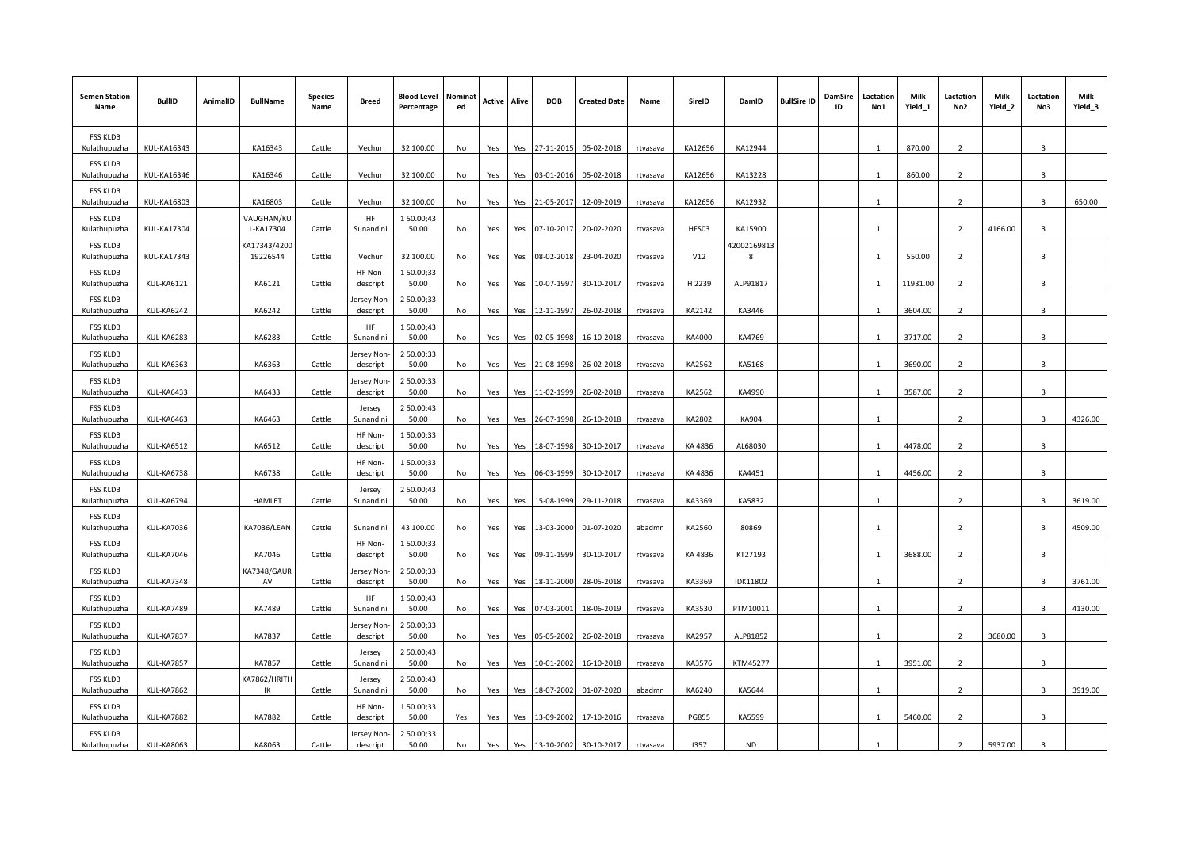| <b>Semen Station</b><br>Name    | <b>BullID</b>      | AnimalID | <b>BullName</b>          | <b>Species</b><br>Name | Breed                 | <b>Blood Level</b><br>Percentage | Nominat<br>ed | Active | Alive | <b>DOB</b> | <b>Created Date</b> | Name     | SireID       | DamID            | <b>BullSire ID</b> | <b>DamSire</b><br>ID | Lactation<br>No1 | Milk<br>Yield_1 | Lactation<br>No2         | Milk<br>Yield_2 | Lactation<br>No3 | Milk<br>Yield_3 |
|---------------------------------|--------------------|----------|--------------------------|------------------------|-----------------------|----------------------------------|---------------|--------|-------|------------|---------------------|----------|--------------|------------------|--------------------|----------------------|------------------|-----------------|--------------------------|-----------------|------------------|-----------------|
| <b>FSS KLDB</b><br>Kulathupuzha | <b>KUL-KA16343</b> |          | KA16343                  | Cattle                 | Vechur                | 32 100.00                        | No            | Yes    | Yes   | 27-11-2015 | 05-02-2018          | rtvasava | KA12656      | KA12944          |                    |                      |                  | 870.00          | $\overline{2}$           |                 | 3                |                 |
| <b>FSS KLDB</b><br>Kulathupuzha | <b>KUL-KA16346</b> |          | KA16346                  | Cattle                 | Vechur                | 32 100.00                        | No            | Yes    | Yes   | 03-01-2016 | 05-02-2018          | rtvasava | KA12656      | KA13228          |                    |                      | $\mathbf{1}$     | 860.00          | 2                        |                 | 3                |                 |
| <b>FSS KLDB</b><br>Kulathupuzha | <b>KUL-KA16803</b> |          | KA16803                  | Cattle                 | Vechur                | 32 100.00                        | No            | Yes    | Yes   | 21-05-2017 | 12-09-2019          | rtvasava | KA12656      | KA12932          |                    |                      | $\mathbf{1}$     |                 | 2                        |                 | 3                | 650.00          |
| <b>FSS KLDB</b><br>Kulathupuzha | <b>KUL-KA17304</b> |          | VAUGHAN/KL<br>L-KA17304  | Cattle                 | HF<br>Sunandini       | 150.00;43<br>50.00               | No            | Yes    | Yes   | 07-10-2017 | 20-02-2020          | rtvasava | HFS03        | KA15900          |                    |                      |                  |                 | $\overline{2}$           | 4166.00         | 3                |                 |
| <b>FSS KLDB</b><br>Kulathupuzha | <b>KUL-KA17343</b> |          | KA17343/4200<br>19226544 | Cattle                 | Vechur                | 32 100.00                        | No            | Yes    | Yes   | 08-02-2018 | 23-04-2020          | rtvasava | V12          | 42002169813<br>8 |                    |                      | -1               | 550.00          | $\overline{2}$           |                 | 3                |                 |
| <b>FSS KLDB</b><br>Kulathupuzha | <b>KUL-KA6121</b>  |          | KA6121                   | Cattle                 | HF Non-<br>descript   | 150.00;33<br>50.00               | No            | Yes    | Yes   | 10-07-1997 | 30-10-2017          | rtvasava | H 2239       | ALP91817         |                    |                      | $\mathbf{1}$     | 11931.00        | 2                        |                 | 3                |                 |
| <b>FSS KLDB</b><br>Kulathupuzha | KUL-KA6242         |          | KA6242                   | Cattle                 | ersey Non<br>descript | 2 50.00;33<br>50.00              | No            | Yes    | Yes   | 12-11-1997 | 26-02-2018          | rtvasava | KA2142       | KA3446           |                    |                      | $\mathbf{1}$     | 3604.00         | 2                        |                 | 3                |                 |
| <b>FSS KLDB</b><br>Kulathupuzha | KUL-KA6283         |          | KA6283                   | Cattle                 | HF<br>Sunandini       | 150.00;43<br>50.00               | No            | Yes    | Yes   | 02-05-1998 | 16-10-2018          | rtvasava | KA4000       | KA4769           |                    |                      |                  | 3717.00         | 2                        |                 | 3                |                 |
| <b>FSS KLDB</b><br>Kulathupuzha | KUL-KA6363         |          | KA6363                   | Cattle                 | ersey Non<br>descript | 2 50.00;33<br>50.00              | <b>No</b>     | Yes    | Yes   | 21-08-1998 | 26-02-2018          | rtvasava | KA2562       | KA5168           |                    |                      |                  | 3690.00         | $\overline{2}$           |                 | 3                |                 |
| <b>FSS KLDB</b><br>Kulathupuzha | KUL-KA6433         |          | KA6433                   | Cattle                 | ersey Non<br>descript | 2 50.00;33<br>50.00              | No            | Yes    | Yes   | 11-02-1999 | 26-02-2018          | rtvasava | KA2562       | KA4990           |                    |                      | 1                | 3587.00         | 2                        |                 | 3                |                 |
| <b>FSS KLDB</b><br>Kulathupuzha | KUL-KA6463         |          | KA6463                   | Cattle                 | Jersey<br>Sunandini   | 2 50.00;43<br>50.00              | No            | Yes    | Yes   | 26-07-1998 | 26-10-2018          | rtvasava | KA2802       | KA904            |                    |                      | 1                |                 | 2                        |                 | 3                | 4326.00         |
| <b>FSS KLDB</b><br>Kulathupuzha | KUL-KA6512         |          | KA6512                   | Cattle                 | HF Non-<br>descript   | 150.00;33<br>50.00               | No            | Yes    | Yes   | 18-07-1998 | 30-10-2017          | rtvasava | KA 4836      | AL68030          |                    |                      | -1               | 4478.00         | 2                        |                 | 3                |                 |
| <b>FSS KLDB</b><br>Kulathupuzha | KUL-KA6738         |          | KA6738                   | Cattle                 | HF Non-<br>descript   | 150.00;33<br>50.00               | <b>No</b>     | Yes    | Yes   | 06-03-1999 | 30-10-2017          | rtvasava | KA 4836      | KA4451           |                    |                      | $\overline{1}$   | 4456.00         | $\overline{2}$           |                 | 3                |                 |
| <b>FSS KLDB</b><br>Kulathupuzha | KUL-KA6794         |          | <b>HAMLET</b>            | Cattle                 | Jersey<br>Sunandini   | 2 50.00;43<br>50.00              | No            | Yes    | Yes   | 15-08-1999 | 29-11-2018          | rtvasava | KA3369       | KA5832           |                    |                      | $\mathbf{1}$     |                 | 2                        |                 | 3                | 3619.00         |
| <b>FSS KLDB</b><br>Kulathupuzha | KUL-KA7036         |          | KA7036/LEAN              | Cattle                 | Sunandini             | 43 100.00                        | No            | Yes    | Yes   | 13-03-2000 | 01-07-2020          | abadmn   | KA2560       | 80869            |                    |                      | $\mathbf{1}$     |                 | 2                        |                 | 3                | 4509.00         |
| <b>FSS KLDB</b><br>Kulathupuzha | KUL-KA7046         |          | KA7046                   | Cattle                 | HF Non-<br>descript   | 150.00;33<br>50.00               | No            | Yes    | Yes   | 09-11-1999 | 30-10-2017          | rtvasava | KA 4836      | KT27193          |                    |                      | $\overline{1}$   | 3688.00         | 2                        |                 | 3                |                 |
| <b>FSS KLDB</b><br>Kulathupuzha | KUL-KA7348         |          | KA7348/GAUR<br>AV        | Cattle                 | ersey Non<br>descript | 2 50.00;33<br>50.00              | No            | Yes    | Yes   | 18-11-2000 | 28-05-2018          | rtvasava | KA3369       | <b>IDK11802</b>  |                    |                      |                  |                 | $\overline{\phantom{a}}$ |                 | 3                | 3761.00         |
| <b>FSS KLDB</b><br>Kulathupuzha | KUL-KA7489         |          | KA7489                   | Cattle                 | HF<br>Sunandini       | 150.00;43<br>50.00               | No            | Yes    | Yes   | 07-03-2001 | 18-06-2019          | rtvasava | KA3530       | PTM10011         |                    |                      | 1                |                 | 2                        |                 | 3                | 4130.00         |
| <b>FSS KLDB</b><br>Kulathupuzha | KUL-KA7837         |          | KA7837                   | Cattle                 | ersey Non<br>descript | 2 50.00;33<br>50.00              | No            | Yes    | Yes   | 05-05-2002 | 26-02-2018          | rtvasava | KA2957       | ALP81852         |                    |                      | 1                |                 | $\overline{2}$           | 3680.00         | 3                |                 |
| <b>FSS KLDB</b><br>Kulathupuzha | KUL-KA7857         |          | KA7857                   | Cattle                 | Jersey<br>Sunandini   | 2 50.00;43<br>50.00              | No            | Yes    | Yes   | 10-01-2002 | 16-10-2018          | rtvasava | KA3576       | KTM45277         |                    |                      | $\mathbf{1}$     | 3951.00         | 2                        |                 | 3                |                 |
| <b>FSS KLDB</b><br>Kulathupuzha | KUL-KA7862         |          | KA7862/HRITH<br>۱К       | Cattle                 | Jersey<br>Sunandini   | 2 50.00;43<br>50.00              | No            | Yes    | Yes   | 18-07-2002 | 01-07-2020          | abadmn   | KA6240       | KA5644           |                    |                      |                  |                 | 2                        |                 | 3                | 3919.00         |
| <b>FSS KLDB</b><br>Kulathupuzha | KUL-KA7882         |          | KA7882                   | Cattle                 | HF Non-<br>descript   | 150.00;33<br>50.00               | Yes           | Yes    | Yes   | 13-09-2002 | 17-10-2016          | rtvasava | <b>PG855</b> | KA5599           |                    |                      |                  | 5460.00         | 2                        |                 | 3                |                 |
| <b>FSS KLDB</b><br>Kulathupuzha | <b>KUL-KA8063</b>  |          | KA8063                   | Cattle                 | ersey Non<br>descript | 2 50.00;33<br>50.00              | No            | Yes    | Yes   | 13-10-2002 | 30-10-2017          | rtvasava | J357         | <b>ND</b>        |                    |                      | $\overline{1}$   |                 | 2                        | 5937.00         | $\overline{3}$   |                 |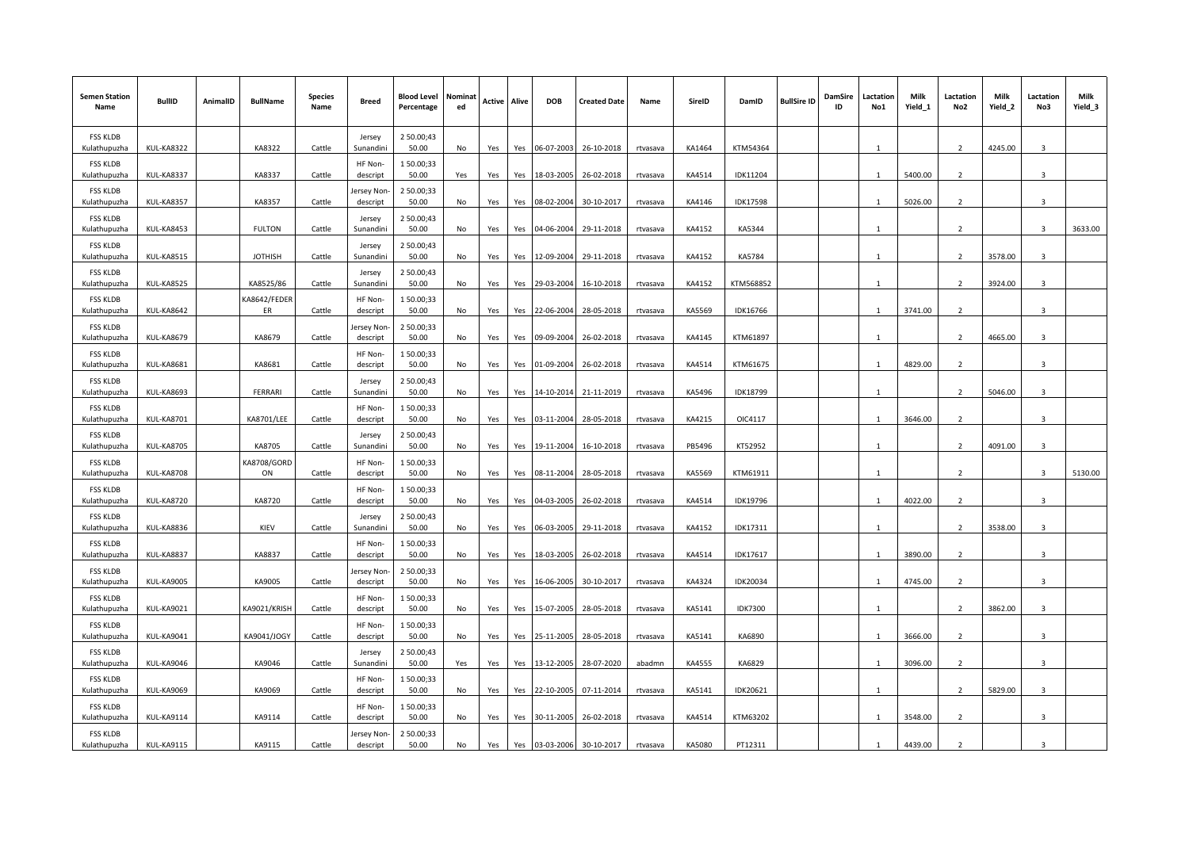| <b>Semen Station</b><br>Name    | <b>BullID</b>     | AnimalID | <b>BullName</b>                             | <b>Species</b><br>Name | <b>Breed</b>           | <b>Blood Level</b><br>Percentage | Nominat<br>ed | Active | Alive | <b>DOB</b> | <b>Created Date</b> | Name     | SireID | DamID           | <b>BullSire ID</b> | DamSire<br>ID | Lactation<br>No1 | Milk<br>Yield_1 | Lactation<br>No2         | Milk<br>Yield_2 | Lactation<br>No3 | Milk<br>Yield_3 |
|---------------------------------|-------------------|----------|---------------------------------------------|------------------------|------------------------|----------------------------------|---------------|--------|-------|------------|---------------------|----------|--------|-----------------|--------------------|---------------|------------------|-----------------|--------------------------|-----------------|------------------|-----------------|
| <b>FSS KLDB</b><br>Kulathupuzha | KUL-KA8322        |          | KA8322                                      | Cattle                 | Jersey<br>Sunandini    | 2 50.00;43<br>50.00              | No            | Yes    | Yes   | 06-07-2003 | 26-10-2018          | rtvasava | KA1464 | KTM54364        |                    |               | $\mathbf{1}$     |                 | $\overline{2}$           | 4245.00         | 3                |                 |
| <b>FSS KLDB</b><br>Kulathupuzha | KUL-KA8337        |          | KA8337                                      | Cattle                 | HF Non-<br>descript    | 150.00;33<br>50.00               | Yes           | Yes    | Yes   | 18-03-2005 | 26-02-2018          | rtvasava | KA4514 | IDK11204        |                    |               | $\mathbf{1}$     | 5400.00         | $\overline{2}$           |                 | $\mathbf{3}$     |                 |
| <b>FSS KLDB</b><br>Kulathupuzha | <b>KUL-KA8357</b> |          | KA8357                                      | Cattle                 | ersey Non<br>descript  | 2 50.00;33<br>50.00              | No            | Yes    | Yes   | 08-02-2004 | 30-10-2017          | rtvasava | KA4146 | <b>IDK17598</b> |                    |               | $\mathbf{1}$     | 5026.00         | $\overline{2}$           |                 | $\overline{3}$   |                 |
| <b>FSS KLDB</b><br>Kulathupuzha | <b>KUL-KA8453</b> |          | <b>FULTON</b>                               | Cattle                 | Jersey<br>Sunandini    | 2 50.00;43<br>50.00              | No            | Yes    | Yes   | 04-06-2004 | 29-11-2018          | rtvasava | KA4152 | KA5344          |                    |               | $\mathbf{1}$     |                 | $\mathbf{2}$             |                 | 3                | 3633.00         |
| <b>FSS KLDB</b><br>Kulathupuzha | KUL-KA8515        |          | <b>JOTHISH</b>                              | Cattle                 | Jersey<br>Sunandini    | 2 50.00;43<br>50.00              | No            | Yes    | Yes   | 12-09-2004 | 29-11-2018          | rtvasava | KA4152 | KA5784          |                    |               | $\mathbf{1}$     |                 | $\overline{2}$           | 3578.00         | $\mathbf{a}$     |                 |
| <b>FSS KLDB</b><br>Kulathupuzha | KUL-KA8525        |          | KA8525/86                                   | Cattle                 | Jersey<br>Sunandini    | 2 50.00;43<br>50.00              | No            | Yes    | Yes   | 29-03-2004 | 16-10-2018          | rtvasava | KA4152 | KTM568852       |                    |               | -1               |                 | $\overline{2}$           | 3924.00         | $\mathbf{3}$     |                 |
| <b>FSS KLDB</b><br>Kulathupuzha | <b>KUL-KA8642</b> |          | KA8642/FEDER<br>ER                          | Cattle                 | HF Non-<br>descript    | 150.00;33<br>50.00               | No            | Yes    | Yes   | 22-06-2004 | 28-05-2018          | rtvasava | KA5569 | IDK16766        |                    |               | $\mathbf{1}$     | 3741.00         | $\overline{2}$           |                 | $\overline{3}$   |                 |
| <b>FSS KLDB</b><br>Kulathupuzha | <b>KUL-KA8679</b> |          | KA8679                                      | Cattle                 | lersey Non<br>descript | 2 50.00;33<br>50.00              | No            | Yes    | Yes   | 09-09-2004 | 26-02-2018          | rtvasava | KA4145 | KTM61897        |                    |               | $\mathbf{1}$     |                 | $\overline{2}$           | 4665.00         | $\overline{3}$   |                 |
| <b>FSS KLDB</b><br>Kulathupuzha | <b>KUL-KA8681</b> |          | KA8681                                      | Cattle                 | HF Non-<br>descript    | 150.00;33<br>50.00               | No            | Yes    | Yes   | 01-09-2004 | 26-02-2018          | rtvasava | KA4514 | KTM61675        |                    |               | $\mathbf{1}$     | 4829.00         | $\mathcal{P}$            |                 | $\mathbf{3}$     |                 |
| <b>FSS KLDB</b><br>Kulathupuzha | <b>KUL-KA8693</b> |          | FERRARI                                     | Cattle                 | Jersey<br>Sunandini    | 2 50.00;43<br>50.00              | No            | Yes    | Yes   | 14-10-2014 | 21-11-2019          | rtvasava | KA5496 | <b>IDK18799</b> |                    |               | $\mathbf{1}$     |                 | $\overline{2}$           | 5046.00         | $\mathbf{3}$     |                 |
| <b>FSS KLDB</b><br>Kulathupuzha | <b>KUL-KA8701</b> |          | KA8701/LEE                                  | Cattle                 | HF Non-<br>descript    | 150.00;33<br>50.00               | No            | Yes    | Yes   | 03-11-2004 | 28-05-2018          | rtvasava | KA4215 | OIC4117         |                    |               | $\mathbf{1}$     | 3646.00         | $\overline{2}$           |                 | $\overline{3}$   |                 |
| <b>FSS KLDB</b><br>Kulathupuzha | <b>KUL-KA8705</b> |          | KA8705                                      | Cattle                 | Jersey<br>Sunandini    | 2 50.00;43<br>50.00              | No            | Yes    | Yes   | 19-11-2004 | 16-10-2018          | rtvasava | PB5496 | KT52952         |                    |               | $\mathbf{1}$     |                 | $\overline{2}$           | 4091.00         | $\overline{3}$   |                 |
| <b>FSS KLDB</b><br>Kulathupuzha | <b>KUL-KA8708</b> |          | <b><a8708 b="" gord<=""><br/>ON</a8708></b> | Cattle                 | HF Non-<br>descript    | 150.00;33<br>50.00               | No            | Yes    | Yes   | 08-11-2004 | 28-05-2018          | rtvasava | KA5569 | KTM61911        |                    |               |                  |                 | $\overline{2}$           |                 | $\mathbf{R}$     | 5130.00         |
| <b>FSS KLDB</b><br>Kulathupuzha | KUL-KA8720        |          | KA8720                                      | Cattle                 | HF Non-<br>descript    | 150.00;33<br>50.00               | No            | Yes    | Yes   | 04-03-2005 | 26-02-2018          | rtvasava | KA4514 | IDK19796        |                    |               | $\mathbf{1}$     | 4022.00         | $\overline{2}$           |                 | $\mathbf{3}$     |                 |
| <b>FSS KLDB</b><br>Kulathupuzha | KUL-KA8836        |          | KIEV                                        | Cattle                 | Jersey<br>Sunandini    | 2 50.00;43<br>50.00              | No            | Yes    | Yes   | 06-03-2005 | 29-11-2018          | rtvasava | KA4152 | IDK17311        |                    |               |                  |                 | $\overline{2}$           | 3538.00         | $\overline{3}$   |                 |
| <b>FSS KLDB</b><br>Kulathupuzha | <b>KUL-KA8837</b> |          | KA8837                                      | Cattle                 | HF Non-<br>descript    | 150.00;33<br>50.00               | No            | Yes    | Yes   | 18-03-2005 | 26-02-2018          | rtvasava | KA4514 | IDK17617        |                    |               | $\mathbf{1}$     | 3890.00         | $\overline{2}$           |                 | $\overline{3}$   |                 |
| <b>FSS KLDB</b><br>Kulathupuzha | <b>KUL-KA9005</b> |          | KA9005                                      | Cattle                 | lersey Non<br>descript | 2 50.00;33<br>50.00              | No            | Yes    | Yes   | 16-06-2005 | 30-10-2017          | rtvasava | KA4324 | IDK20034        |                    |               | $\overline{1}$   | 4745.00         | $\mathbf{2}$             |                 | $\mathbf{3}$     |                 |
| <b>FSS KLDB</b><br>Kulathupuzha | KUL-KA9021        |          | KA9021/KRISH                                | Cattle                 | HF Non-<br>descript    | 150.00;33<br>50.00               | No            | Yes    | Yes   | 15-07-2005 | 28-05-2018          | rtvasava | KA5141 | <b>IDK7300</b>  |                    |               | -1               |                 | $\overline{2}$           | 3862.00         | 3                |                 |
| <b>FSS KLDB</b><br>Kulathupuzha | KUL-KA9041        |          | KA9041/JOGY                                 | Cattle                 | HF Non-<br>descript    | 150.00;33<br>50.00               | No            | Yes    | Yes   | 25-11-2005 | 28-05-2018          | rtvasava | KA5141 | KA6890          |                    |               | $\mathbf{1}$     | 3666.00         | $\overline{2}$           |                 | $\overline{3}$   |                 |
| <b>FSS KLDB</b><br>Kulathupuzha | KUL-KA9046        |          | KA9046                                      | Cattle                 | Jersey<br>Sunandini    | 2 50.00;43<br>50.00              | Yes           | Yes    | Yes   | 13-12-2005 | 28-07-2020          | abadmn   | KA4555 | KA6829          |                    |               | $\mathbf{1}$     | 3096.00         | $\overline{2}$           |                 | $\overline{3}$   |                 |
| <b>FSS KLDB</b><br>Kulathupuzha | <b>KUL-KA9069</b> |          | KA9069                                      | Cattle                 | HF Non-<br>descript    | 150.00;33<br>50.00               | No            | Yes    | Yes   | 22-10-2005 | 07-11-2014          | rtvasava | KA5141 | IDK20621        |                    |               | -1               |                 | 2                        | 5829.00         | $\overline{3}$   |                 |
| <b>FSS KLDB</b><br>Kulathupuzha | KUL-KA9114        |          | KA9114                                      | Cattle                 | HF Non-<br>descript    | 150.00;33<br>50.00               | No            | Yes    | Yes   | 30-11-2005 | 26-02-2018          | rtvasava | KA4514 | KTM63202        |                    |               | $\mathbf{1}$     | 3548.00         | $\overline{2}$           |                 | $\overline{3}$   |                 |
| <b>FSS KLDB</b><br>Kulathupuzha | <b>KUL-KA9115</b> |          | KA9115                                      | Cattle                 | lersey Non<br>descript | 2 50.00;33<br>50.00              | No            | Yes    | Yes   | 03-03-2006 | 30-10-2017          | rtvasava | KA5080 | PT12311         |                    |               |                  | 4439.00         | $\overline{\phantom{a}}$ |                 | $\overline{3}$   |                 |